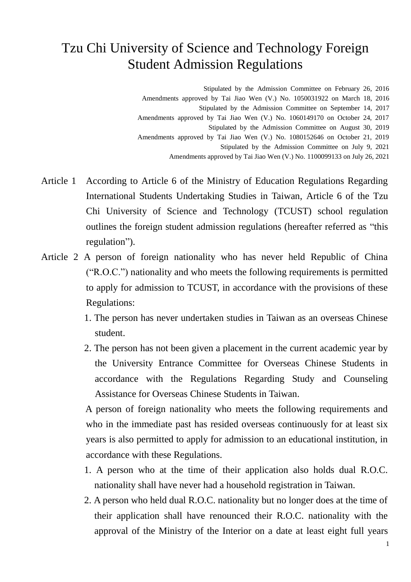## Tzu Chi University of Science and Technology Foreign Student Admission Regulations

Stipulated by the Admission Committee on February 26, 2016 Amendments approved by Tai Jiao Wen (V.) No. 1050031922 on March 18, 2016 Stipulated by the Admission Committee on September 14, 2017 Amendments approved by Tai Jiao Wen (V.) No. 1060149170 on October 24, 2017 Stipulated by the Admission Committee on August 30, 2019 Amendments approved by Tai Jiao Wen (V.) No. 1080152646 on October 21, 2019 Stipulated by the Admission Committee on July 9, 2021 Amendments approved by Tai Jiao Wen (V.) No. 1100099133 on July 26, 2021

- Article 1 According to Article 6 of the Ministry of Education Regulations Regarding International Students Undertaking Studies in Taiwan, Article 6 of the Tzu Chi University of Science and Technology (TCUST) school regulation outlines the foreign student admission regulations (hereafter referred as "this regulation").
- Article 2 A person of foreign nationality who has never held Republic of China ("R.O.C.") nationality and who meets the following requirements is permitted to apply for admission to TCUST, in accordance with the provisions of these Regulations:
	- 1. The person has never undertaken studies in Taiwan as an overseas Chinese student.
	- 2. The person has not been given a placement in the current academic year by the University Entrance Committee for Overseas Chinese Students in accordance with the Regulations Regarding Study and Counseling Assistance for Overseas Chinese Students in Taiwan.

A person of foreign nationality who meets the following requirements and who in the immediate past has resided overseas continuously for at least six years is also permitted to apply for admission to an educational institution, in accordance with these Regulations.

- 1. A person who at the time of their application also holds dual R.O.C. nationality shall have never had a household registration in Taiwan.
- 2. A person who held dual R.O.C. nationality but no longer does at the time of their application shall have renounced their R.O.C. nationality with the approval of the Ministry of the Interior on a date at least eight full years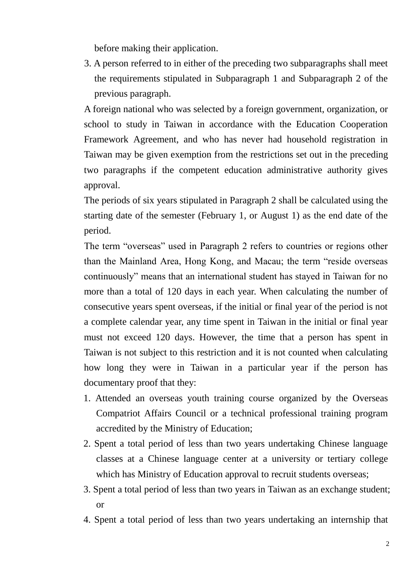before making their application.

3. A person referred to in either of the preceding two subparagraphs shall meet the requirements stipulated in Subparagraph 1 and Subparagraph 2 of the previous paragraph.

A foreign national who was selected by a foreign government, organization, or school to study in Taiwan in accordance with the Education Cooperation Framework Agreement, and who has never had household registration in Taiwan may be given exemption from the restrictions set out in the preceding two paragraphs if the competent education administrative authority gives approval.

The periods of six years stipulated in Paragraph 2 shall be calculated using the starting date of the semester (February 1, or August 1) as the end date of the period.

The term "overseas" used in Paragraph 2 refers to countries or regions other than the Mainland Area, Hong Kong, and Macau; the term "reside overseas continuously" means that an international student has stayed in Taiwan for no more than a total of 120 days in each year. When calculating the number of consecutive years spent overseas, if the initial or final year of the period is not a complete calendar year, any time spent in Taiwan in the initial or final year must not exceed 120 days. However, the time that a person has spent in Taiwan is not subject to this restriction and it is not counted when calculating how long they were in Taiwan in a particular year if the person has documentary proof that they:

- 1. Attended an overseas youth training course organized by the Overseas Compatriot Affairs Council or a technical professional training program accredited by the Ministry of Education;
- 2. Spent a total period of less than two years undertaking Chinese language classes at a Chinese language center at a university or tertiary college which has Ministry of Education approval to recruit students overseas;
- 3. Spent a total period of less than two years in Taiwan as an exchange student; or
- 4. Spent a total period of less than two years undertaking an internship that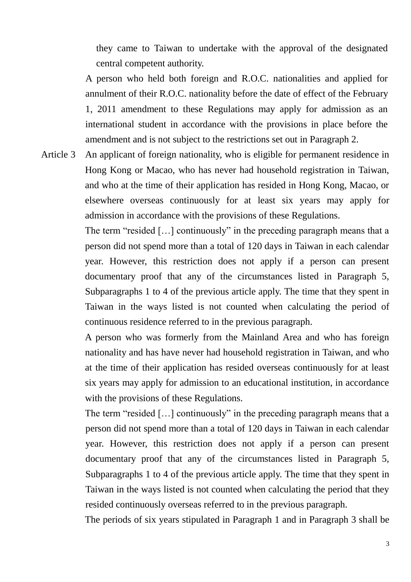they came to Taiwan to undertake with the approval of the designated central competent authority.

A person who held both foreign and R.O.C. nationalities and applied for annulment of their R.O.C. nationality before the date of effect of the February 1, 2011 amendment to these Regulations may apply for admission as an international student in accordance with the provisions in place before the amendment and is not subject to the restrictions set out in Paragraph 2.

Article 3 An applicant of foreign nationality, who is eligible for permanent residence in Hong Kong or Macao, who has never had household registration in Taiwan, and who at the time of their application has resided in Hong Kong, Macao, or elsewhere overseas continuously for at least six years may apply for admission in accordance with the provisions of these Regulations.

> The term "resided […] continuously" in the preceding paragraph means that a person did not spend more than a total of 120 days in Taiwan in each calendar year. However, this restriction does not apply if a person can present documentary proof that any of the circumstances listed in Paragraph 5, Subparagraphs 1 to 4 of the previous article apply. The time that they spent in Taiwan in the ways listed is not counted when calculating the period of continuous residence referred to in the previous paragraph.

> A person who was formerly from the Mainland Area and who has foreign nationality and has have never had household registration in Taiwan, and who at the time of their application has resided overseas continuously for at least six years may apply for admission to an educational institution, in accordance with the provisions of these Regulations.

> The term "resided […] continuously" in the preceding paragraph means that a person did not spend more than a total of 120 days in Taiwan in each calendar year. However, this restriction does not apply if a person can present documentary proof that any of the circumstances listed in Paragraph 5, Subparagraphs 1 to 4 of the previous article apply. The time that they spent in Taiwan in the ways listed is not counted when calculating the period that they resided continuously overseas referred to in the previous paragraph.

> The periods of six years stipulated in Paragraph 1 and in Paragraph 3 shall be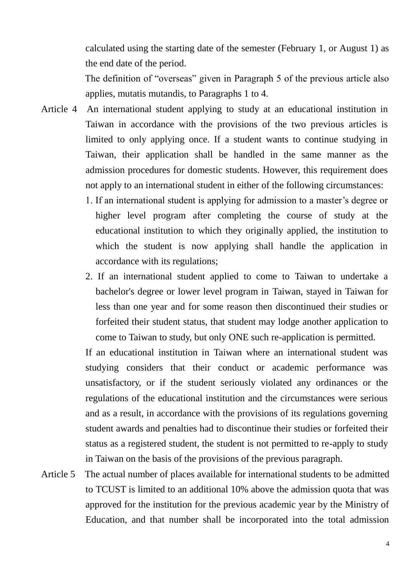calculated using the starting date of the semester (February 1, or August 1) as the end date of the period.

The definition of "overseas" given in Paragraph 5 of the previous article also applies, mutatis mutandis, to Paragraphs 1 to 4.

- Article 4 An international student applying to study at an educational institution in Taiwan in accordance with the provisions of the two previous articles is limited to only applying once. If a student wants to continue studying in Taiwan, their application shall be handled in the same manner as the admission procedures for domestic students. However, this requirement does not apply to an international student in either of the following circumstances:
	- 1. If an international student is applying for admission to a master's degree or higher level program after completing the course of study at the educational institution to which they originally applied, the institution to which the student is now applying shall handle the application in accordance with its regulations;
	- 2. If an international student applied to come to Taiwan to undertake a bachelor's degree or lower level program in Taiwan, stayed in Taiwan for less than one year and for some reason then discontinued their studies or forfeited their student status, that student may lodge another application to come to Taiwan to study, but only ONE such re-application is permitted.

If an educational institution in Taiwan where an international student was studying considers that their conduct or academic performance was unsatisfactory, or if the student seriously violated any ordinances or the regulations of the educational institution and the circumstances were serious and as a result, in accordance with the provisions of its regulations governing student awards and penalties had to discontinue their studies or forfeited their status as a registered student, the student is not permitted to re-apply to study in Taiwan on the basis of the provisions of the previous paragraph.

Article 5 The actual number of places available for international students to be admitted to TCUST is limited to an additional 10% above the admission quota that was approved for the institution for the previous academic year by the Ministry of Education, and that number shall be incorporated into the total admission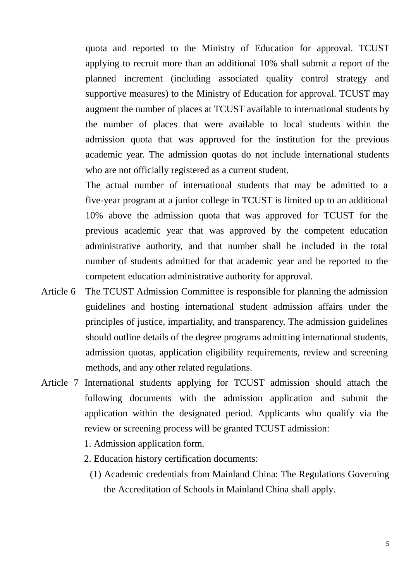quota and reported to the Ministry of Education for approval. TCUST applying to recruit more than an additional 10% shall submit a report of the planned increment (including associated quality control strategy and supportive measures) to the Ministry of Education for approval. TCUST may augment the number of places at TCUST available to international students by the number of places that were available to local students within the admission quota that was approved for the institution for the previous academic year. The admission quotas do not include international students who are not officially registered as a current student.

The actual number of international students that may be admitted to a five-year program at a junior college in TCUST is limited up to an additional 10% above the admission quota that was approved for TCUST for the previous academic year that was approved by the competent education administrative authority, and that number shall be included in the total number of students admitted for that academic year and be reported to the competent education administrative authority for approval.

- Article 6 The TCUST Admission Committee is responsible for planning the admission guidelines and hosting international student admission affairs under the principles of justice, impartiality, and transparency. The admission guidelines should outline details of the degree programs admitting international students, admission quotas, application eligibility requirements, review and screening methods, and any other related regulations.
- Article 7 International students applying for TCUST admission should attach the following documents with the admission application and submit the application within the designated period. Applicants who qualify via the review or screening process will be granted TCUST admission:
	- 1. Admission application form.
	- 2. Education history certification documents:
		- (1) Academic credentials from Mainland China: The Regulations Governing the Accreditation of Schools in Mainland China shall apply.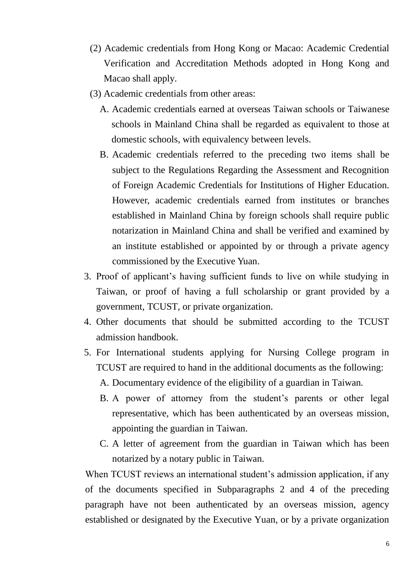- (2) Academic credentials from Hong Kong or Macao: Academic Credential Verification and Accreditation Methods adopted in Hong Kong and Macao shall apply.
- (3) Academic credentials from other areas:
	- A. Academic credentials earned at overseas Taiwan schools or Taiwanese schools in Mainland China shall be regarded as equivalent to those at domestic schools, with equivalency between levels.
	- B. Academic credentials referred to the preceding two items shall be subject to the Regulations Regarding the Assessment and Recognition of Foreign Academic Credentials for Institutions of Higher Education. However, academic credentials earned from institutes or branches established in Mainland China by foreign schools shall require public notarization in Mainland China and shall be verified and examined by an institute established or appointed by or through a private agency commissioned by the Executive Yuan.
- 3. Proof of applicant's having sufficient funds to live on while studying in Taiwan, or proof of having a full scholarship or grant provided by a government, TCUST, or private organization.
- 4. Other documents that should be submitted according to the TCUST admission handbook.
- 5. For International students applying for Nursing College program in TCUST are required to hand in the additional documents as the following:
	- A. Documentary evidence of the eligibility of a guardian in Taiwan.
	- B. A power of attorney from the student's parents or other legal representative, which has been authenticated by an overseas mission, appointing the guardian in Taiwan.
	- C. A letter of agreement from the guardian in Taiwan which has been notarized by a notary public in Taiwan.

When TCUST reviews an international student's admission application, if any of the documents specified in Subparagraphs 2 and 4 of the preceding paragraph have not been authenticated by an overseas mission, agency established or designated by the Executive Yuan, or by a private organization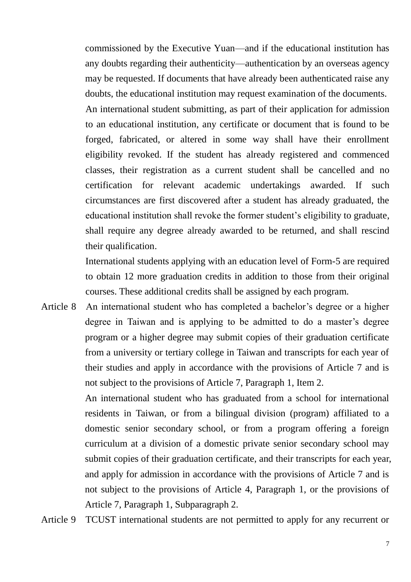commissioned by the Executive Yuan—and if the educational institution has any doubts regarding their authenticity—authentication by an overseas agency may be requested. If documents that have already been authenticated raise any doubts, the educational institution may request examination of the documents. An international student submitting, as part of their application for admission to an educational institution, any certificate or document that is found to be forged, fabricated, or altered in some way shall have their enrollment eligibility revoked. If the student has already registered and commenced classes, their registration as a current student shall be cancelled and no certification for relevant academic undertakings awarded. If such circumstances are first discovered after a student has already graduated, the educational institution shall revoke the former student's eligibility to graduate, shall require any degree already awarded to be returned, and shall rescind their qualification.

International students applying with an education level of Form-5 are required to obtain 12 more graduation credits in addition to those from their original courses. These additional credits shall be assigned by each program.

Article 8 An international student who has completed a bachelor's degree or a higher degree in Taiwan and is applying to be admitted to do a master's degree program or a higher degree may submit copies of their graduation certificate from a university or tertiary college in Taiwan and transcripts for each year of their studies and apply in accordance with the provisions of Article 7 and is not subject to the provisions of Article 7, Paragraph 1, Item 2.

> An international student who has graduated from a school for international residents in Taiwan, or from a bilingual division (program) affiliated to a domestic senior secondary school, or from a program offering a foreign curriculum at a division of a domestic private senior secondary school may submit copies of their graduation certificate, and their transcripts for each year, and apply for admission in accordance with the provisions of Article 7 and is not subject to the provisions of Article 4, Paragraph 1, or the provisions of Article 7, Paragraph 1, Subparagraph 2.

Article 9 TCUST international students are not permitted to apply for any recurrent or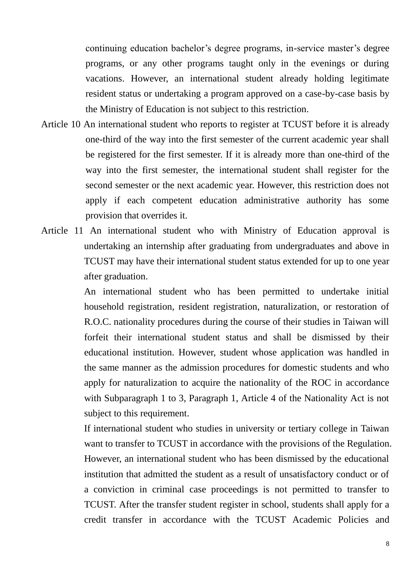continuing education bachelor's degree programs, in-service master's degree programs, or any other programs taught only in the evenings or during vacations. However, an international student already holding legitimate resident status or undertaking a program approved on a case-by-case basis by the Ministry of Education is not subject to this restriction.

- Article 10 An international student who reports to register at TCUST before it is already one-third of the way into the first semester of the current academic year shall be registered for the first semester. If it is already more than one-third of the way into the first semester, the international student shall register for the second semester or the next academic year. However, this restriction does not apply if each competent education administrative authority has some provision that overrides it.
- Article 11 An international student who with Ministry of Education approval is undertaking an internship after graduating from undergraduates and above in TCUST may have their international student status extended for up to one year after graduation.

An international student who has been permitted to undertake initial household registration, resident registration, naturalization, or restoration of R.O.C. nationality procedures during the course of their studies in Taiwan will forfeit their international student status and shall be dismissed by their educational institution. However, student whose application was handled in the same manner as the admission procedures for domestic students and who apply for naturalization to acquire the nationality of the ROC in accordance with Subparagraph 1 to 3, Paragraph 1, Article 4 of the Nationality Act is not subject to this requirement.

If international student who studies in university or tertiary college in Taiwan want to transfer to TCUST in accordance with the provisions of the Regulation. However, an international student who has been dismissed by the educational institution that admitted the student as a result of unsatisfactory conduct or of a conviction in criminal case proceedings is not permitted to transfer to TCUST. After the transfer student register in school, students shall apply for a credit transfer in accordance with the TCUST Academic Policies and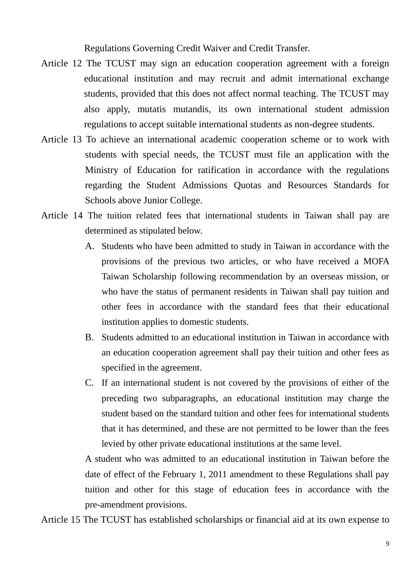Regulations Governing Credit Waiver and Credit Transfer.

- Article 12 The TCUST may sign an education cooperation agreement with a foreign educational institution and may recruit and admit international exchange students, provided that this does not affect normal teaching. The TCUST may also apply, mutatis mutandis, its own international student admission regulations to accept suitable international students as non-degree students.
- Article 13 To achieve an international academic cooperation scheme or to work with students with special needs, the TCUST must file an application with the Ministry of Education for ratification in accordance with the regulations regarding the Student Admissions Quotas and Resources Standards for Schools above Junior College.
- Article 14 The tuition related fees that international students in Taiwan shall pay are determined as stipulated below.
	- A. Students who have been admitted to study in Taiwan in accordance with the provisions of the previous two articles, or who have received a MOFA Taiwan Scholarship following recommendation by an overseas mission, or who have the status of permanent residents in Taiwan shall pay tuition and other fees in accordance with the standard fees that their educational institution applies to domestic students.
	- B. Students admitted to an educational institution in Taiwan in accordance with an education cooperation agreement shall pay their tuition and other fees as specified in the agreement.
	- C. If an international student is not covered by the provisions of either of the preceding two subparagraphs, an educational institution may charge the student based on the standard tuition and other fees for international students that it has determined, and these are not permitted to be lower than the fees levied by other private educational institutions at the same level.

A student who was admitted to an educational institution in Taiwan before the date of effect of the February 1, 2011 amendment to these Regulations shall pay tuition and other for this stage of education fees in accordance with the pre-amendment provisions.

Article 15 The TCUST has established scholarships or financial aid at its own expense to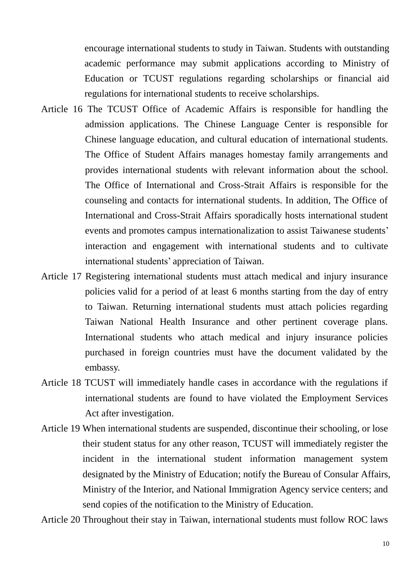encourage international students to study in Taiwan. Students with outstanding academic performance may submit applications according to Ministry of Education or TCUST regulations regarding scholarships or financial aid regulations for international students to receive scholarships.

- Article 16 The TCUST Office of Academic Affairs is responsible for handling the admission applications. The Chinese Language Center is responsible for Chinese language education, and cultural education of international students. The Office of Student Affairs manages homestay family arrangements and provides international students with relevant information about the school. The Office of International and Cross-Strait Affairs is responsible for the counseling and contacts for international students. In addition, The Office of International and Cross-Strait Affairs sporadically hosts international student events and promotes campus internationalization to assist Taiwanese students' interaction and engagement with international students and to cultivate international students' appreciation of Taiwan.
- Article 17 Registering international students must attach medical and injury insurance policies valid for a period of at least 6 months starting from the day of entry to Taiwan. Returning international students must attach policies regarding Taiwan National Health Insurance and other pertinent coverage plans. International students who attach medical and injury insurance policies purchased in foreign countries must have the document validated by the embassy.
- Article 18 TCUST will immediately handle cases in accordance with the regulations if international students are found to have violated the Employment Services Act after investigation.
- Article 19 When international students are suspended, discontinue their schooling, or lose their student status for any other reason, TCUST will immediately register the incident in the international student information management system designated by the Ministry of Education; notify the Bureau of Consular Affairs, Ministry of the Interior, and National Immigration Agency service centers; and send copies of the notification to the Ministry of Education.

Article 20 Throughout their stay in Taiwan, international students must follow ROC laws